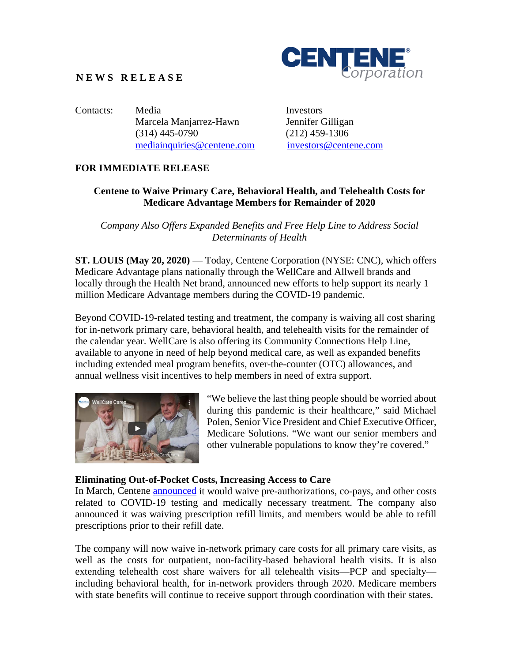# **N E W S R E L E A S E**



Contacts: Media Investors Marcela Manjarrez-Hawn Jennifer Gilligan (314) 445-0790 (212) 459-1306 [mediainquiries@centene.com](mailto:mediainquiries@centene.com) [investors@centene.com](mailto:investors@centene.com)

# **FOR IMMEDIATE RELEASE**

## **Centene to Waive Primary Care, Behavioral Health, and Telehealth Costs for Medicare Advantage Members for Remainder of 2020**

*Company Also Offers Expanded Benefits and Free Help Line to Address Social Determinants of Health*

**ST. LOUIS (May 20, 2020)** — Today, Centene Corporation (NYSE: CNC), which offers Medicare Advantage plans nationally through the WellCare and Allwell brands and locally through the Health Net brand, announced new efforts to help support its nearly 1 million Medicare Advantage members during the COVID-19 pandemic.

Beyond COVID-19-related testing and treatment, the company is waiving all cost sharing for in-network primary care, behavioral health, and telehealth visits for the remainder of the calendar year. WellCare is also offering its Community Connections Help Line, available to anyone in need of help beyond medical care, as well as expanded benefits including extended meal program benefits, over-the-counter (OTC) allowances, and annual wellness visit incentives to help members in need of extra support.



"We believe the last thing people should be worried about during this pandemic is their healthcare," said Michael Polen, Senior Vice President and Chief Executive Officer, Medicare Solutions. "We want our senior members and other vulnerable populations to know they're covered."

### **Eliminating Out-of-Pocket Costs, Increasing Access to Care**

In March, Centene [announced](https://www.prnewswire.com/news-releases/centene-taking-additional-steps-to-protect-members-health-amid-covid-19-outbreak-301022227.html) it would waive pre-authorizations, co-pays, and other costs related to COVID-19 testing and medically necessary treatment. The company also announced it was waiving prescription refill limits, and members would be able to refill prescriptions prior to their refill date.

The company will now waive in-network primary care costs for all primary care visits, as well as the costs for outpatient, non-facility-based behavioral health visits. It is also extending telehealth cost share waivers for all telehealth visits—PCP and specialty including behavioral health, for in-network providers through 2020. Medicare members with state benefits will continue to receive support through coordination with their states.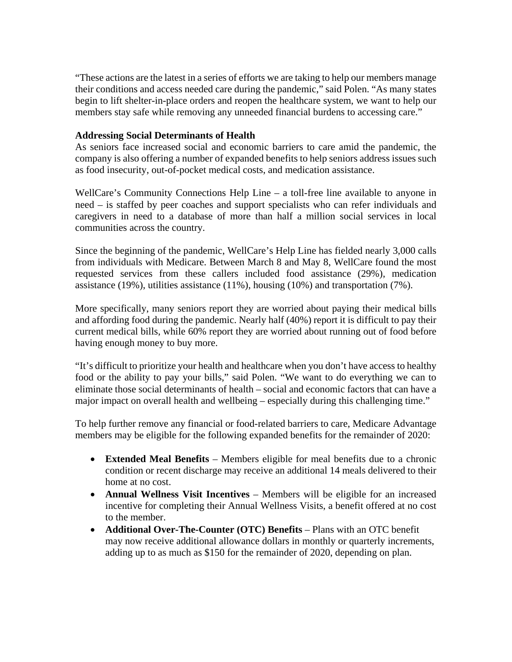"These actions are the latest in a series of efforts we are taking to help our members manage their conditions and access needed care during the pandemic," said Polen. "As many states begin to lift shelter-in-place orders and reopen the healthcare system, we want to help our members stay safe while removing any unneeded financial burdens to accessing care."

## **Addressing Social Determinants of Health**

As seniors face increased social and economic barriers to care amid the pandemic, the company is also offering a number of expanded benefits to help seniors address issues such as food insecurity, out-of-pocket medical costs, and medication assistance.

WellCare's Community Connections Help Line – a toll-free line available to anyone in need – is staffed by peer coaches and support specialists who can refer individuals and caregivers in need to a database of more than half a million social services in local communities across the country.

Since the beginning of the pandemic, WellCare's Help Line has fielded nearly 3,000 calls from individuals with Medicare. Between March 8 and May 8, WellCare found the most requested services from these callers included food assistance (29%), medication assistance (19%), utilities assistance (11%), housing (10%) and transportation (7%).

More specifically, many seniors report they are worried about paying their medical bills and affording food during the pandemic. Nearly half (40%) report it is difficult to pay their current medical bills, while 60% report they are worried about running out of food before having enough money to buy more.

"It's difficult to prioritize your health and healthcare when you don't have access to healthy food or the ability to pay your bills," said Polen. "We want to do everything we can to eliminate those social determinants of health – social and economic factors that can have a major impact on overall health and wellbeing – especially during this challenging time."

To help further remove any financial or food-related barriers to care, Medicare Advantage members may be eligible for the following expanded benefits for the remainder of 2020:

- **Extended Meal Benefits** Members eligible for meal benefits due to a chronic condition or recent discharge may receive an additional 14 meals delivered to their home at no cost.
- **Annual Wellness Visit Incentives** Members will be eligible for an increased incentive for completing their Annual Wellness Visits, a benefit offered at no cost to the member.
- **Additional Over-The-Counter (OTC) Benefits** Plans with an OTC benefit may now receive additional allowance dollars in monthly or quarterly increments, adding up to as much as \$150 for the remainder of 2020, depending on plan.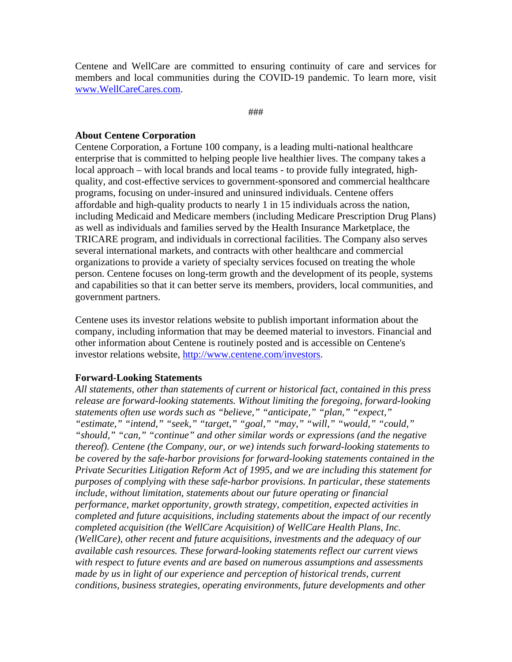Centene and WellCare are committed to ensuring continuity of care and services for members and local communities during the COVID-19 pandemic. To learn more, visit [www.WellCareCares.com.](http://www.wellcarecares.com/)

#### ###

### **About Centene Corporation**

Centene Corporation, a Fortune 100 company, is a leading multi-national healthcare enterprise that is committed to helping people live healthier lives. The company takes a local approach – with local brands and local teams - to provide fully integrated, highquality, and cost-effective services to government-sponsored and commercial healthcare programs, focusing on under-insured and uninsured individuals. Centene offers affordable and high-quality products to nearly 1 in 15 individuals across the nation, including Medicaid and Medicare members (including Medicare Prescription Drug Plans) as well as individuals and families served by the Health Insurance Marketplace, the TRICARE program, and individuals in correctional facilities. The Company also serves several international markets, and contracts with other healthcare and commercial organizations to provide a variety of specialty services focused on treating the whole person. Centene focuses on long-term growth and the development of its people, systems and capabilities so that it can better serve its members, providers, local communities, and government partners.

Centene uses its investor relations website to publish important information about the company, including information that may be deemed material to investors. Financial and other information about Centene is routinely posted and is accessible on Centene's investor relations website, [http://www.centene.com/investors.](http://www.centene.com/investors)

#### **Forward-Looking Statements**

*All statements, other than statements of current or historical fact, contained in this press release are forward-looking statements. Without limiting the foregoing, forward-looking statements often use words such as "believe," "anticipate," "plan," "expect," "estimate," "intend," "seek," "target," "goal," "may," "will," "would," "could," "should," "can," "continue" and other similar words or expressions (and the negative thereof). Centene (the Company, our, or we) intends such forward-looking statements to be covered by the safe-harbor provisions for forward-looking statements contained in the Private Securities Litigation Reform Act of 1995, and we are including this statement for purposes of complying with these safe-harbor provisions. In particular, these statements include, without limitation, statements about our future operating or financial performance, market opportunity, growth strategy, competition, expected activities in completed and future acquisitions, including statements about the impact of our recently completed acquisition (the WellCare Acquisition) of WellCare Health Plans, Inc. (WellCare), other recent and future acquisitions, investments and the adequacy of our available cash resources. These forward-looking statements reflect our current views with respect to future events and are based on numerous assumptions and assessments*  made by us in light of our experience and perception of historical trends, current *conditions, business strategies, operating environments, future developments and other*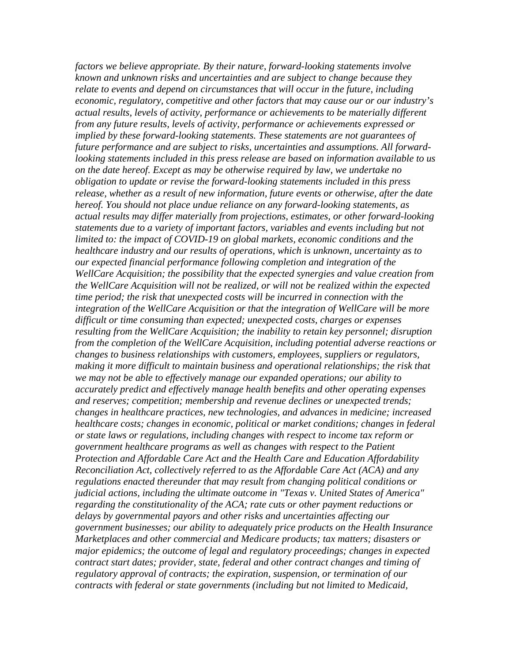*factors we believe appropriate. By their nature, forward-looking statements involve known and unknown risks and uncertainties and are subject to change because they relate to events and depend on circumstances that will occur in the future, including economic, regulatory, competitive and other factors that may cause our or our industry's actual results, levels of activity, performance or achievements to be materially different from any future results, levels of activity, performance or achievements expressed or implied by these forward-looking statements. These statements are not guarantees of future performance and are subject to risks, uncertainties and assumptions. All forwardlooking statements included in this press release are based on information available to us on the date hereof. Except as may be otherwise required by law, we undertake no obligation to update or revise the forward-looking statements included in this press release, whether as a result of new information, future events or otherwise, after the date hereof. You should not place undue reliance on any forward-looking statements, as actual results may differ materially from projections, estimates, or other forward-looking statements due to a variety of important factors, variables and events including but not limited to: the impact of COVID-19 on global markets, economic conditions and the healthcare industry and our results of operations, which is unknown, uncertainty as to our expected financial performance following completion and integration of the WellCare Acquisition; the possibility that the expected synergies and value creation from the WellCare Acquisition will not be realized, or will not be realized within the expected time period; the risk that unexpected costs will be incurred in connection with the integration of the WellCare Acquisition or that the integration of WellCare will be more difficult or time consuming than expected; unexpected costs, charges or expenses resulting from the WellCare Acquisition; the inability to retain key personnel; disruption from the completion of the WellCare Acquisition, including potential adverse reactions or changes to business relationships with customers, employees, suppliers or regulators, making it more difficult to maintain business and operational relationships; the risk that we may not be able to effectively manage our expanded operations; our ability to accurately predict and effectively manage health benefits and other operating expenses and reserves; competition; membership and revenue declines or unexpected trends; changes in healthcare practices, new technologies, and advances in medicine; increased healthcare costs; changes in economic, political or market conditions; changes in federal or state laws or regulations, including changes with respect to income tax reform or government healthcare programs as well as changes with respect to the Patient Protection and Affordable Care Act and the Health Care and Education Affordability Reconciliation Act, collectively referred to as the Affordable Care Act (ACA) and any regulations enacted thereunder that may result from changing political conditions or judicial actions, including the ultimate outcome in "Texas v. United States of America" regarding the constitutionality of the ACA; rate cuts or other payment reductions or delays by governmental payors and other risks and uncertainties affecting our government businesses; our ability to adequately price products on the Health Insurance Marketplaces and other commercial and Medicare products; tax matters; disasters or major epidemics; the outcome of legal and regulatory proceedings; changes in expected contract start dates; provider, state, federal and other contract changes and timing of regulatory approval of contracts; the expiration, suspension, or termination of our contracts with federal or state governments (including but not limited to Medicaid,*